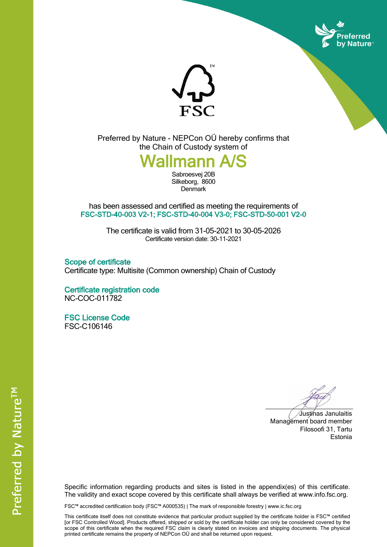



Preferred by Nature - NEPCon OÜ hereby confirms that the Chain of Custody system of

## *<u>allmann</u>*

Sabroesvej 20B Silkeborg, 8600 **Denmark** 

has been assessed and certified as meeting the requirements of **FSC-STD-40-003 V2-1; FSC-STD-40-004 V3-0; FSC-STD-50-001 V2-0**

> The certificate is valid from 31-05-2021 to 30-05-2026 Certificate version date: 30-11-2021

**Scope of certificate** Certificate type: Multisite (Common ownership) Chain of Custody

**Certificate registration code** NC-COC-011782

**FSC License Code** FSC-C106146

Justinas Janulaitis Management board member Filosoofi 31, Tartu Estonia

Specific information regarding products and sites is listed in the appendix(es) of this certificate. The validity and exact scope covered by this certificate shall always be verified at www.info.fsc.org.

FSC™ accredited certification body (FSC™ A000535) | The mark of responsible forestry | www.ic.fsc.org

This certificate itself does not constitute evidence that particular product supplied by the certificate holder is FSC™ certified [or FSC Controlled Wood]. Products offered, shipped or sold by the certificate holder can only be considered covered by the scope of this certificate when the required FSC claim is clearly stated on invoices and shipping documents. The physical printed certificate remains the property of NEPCon OÜ and shall be returned upon request.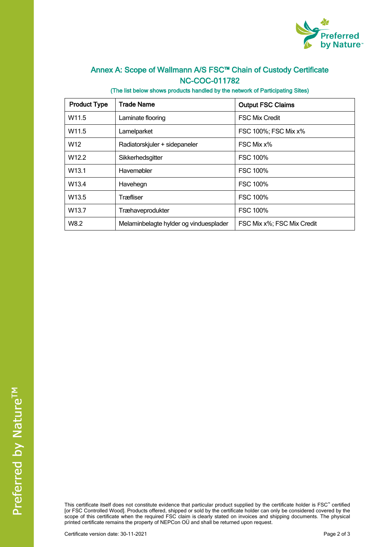

## **Annex A: Scope of Wallmann A/S FSC™ Chain of Custody Certificate NC-COC-011782**

**(The list below shows products handled by the network of Participating Sites)**

| <b>Product Type</b> | <b>Trade Name</b>                      | <b>Output FSC Claims</b>   |  |
|---------------------|----------------------------------------|----------------------------|--|
| W <sub>11.5</sub>   | Laminate flooring                      | <b>FSC Mix Credit</b>      |  |
| W11.5               | Lamelparket                            | FSC 100%; FSC Mix x%       |  |
| W <sub>12</sub>     | Radiatorskjuler + sidepaneler          | FSC Mix x%                 |  |
| W <sub>12.2</sub>   | Sikkerhedsgitter                       | <b>FSC 100%</b>            |  |
| W <sub>13.1</sub>   | Havemøbler                             | <b>FSC 100%</b>            |  |
| W13.4               | Havehegn                               | <b>FSC 100%</b>            |  |
| W <sub>13.5</sub>   | Træfliser                              | <b>FSC 100%</b>            |  |
| W <sub>13.7</sub>   | Træhaveprodukter                       | <b>FSC 100%</b>            |  |
| W8.2                | Melaminbelagte hylder og vinduesplader | FSC Mix x%; FSC Mix Credit |  |